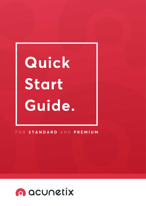# Quick Start Guide.

# FOR STANDARD AND PREMIUM

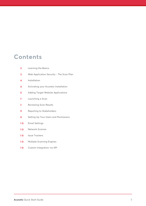# **Contents**

- **3** Learning the Basics
- **3** Web Application Security - The Scan Plan
- **4** Installation
- **4** Activating your Acunetix Installation
- **5** Adding Target Website Applications
- **7** Launching a Scan
- **7** Reviewing Scan Results
- **9** Reporting to Stakeholders
- **9** Setting Up Your Users and Permissions
- **1 0** Email Settings
- **1 0** Network Scanner
- **1 0** Issue Trackers
- **1 0** Multiple Scanning Engines
- **1 0** Custom Integration via API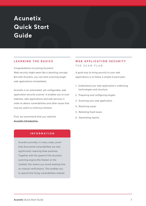# **Acunetix Quick Start Guide**

# **LEARNING THE BASICS**

Congratulations on joining Acunetix! Web security might seem like a daunting concept. But with Acunetix, you can start scanning target web applications immediately.

Acunetix is an automated, yet configurable, web application security scanner. It enables you to scan websites, web applications and web services in order to detect vulnerabilities and other issues that may be useful to malicious hackers.

First, we recommend that you read the <u>Acunetix Introduction.</u>

# **INFORMATION**

Acunetix provides, in many cases, proof that discovered vulnerabilities are real, significantly reducing false positives. Together with the speed of the Acunetix scanning engine (the fastest on the market), this means you avoid wasting time on manual verifications. This enables you to spend time fixing vulnerabilities instead.

# **WEB APPLICATION SECURITY THE SCAN PLAN**

A good way to bring security to your web applications is to follow a simple 6-point plan.

- 1. Understand your web application's underlying technologies and structure
- 2. Preparing and configuring targets
- 3. Scanning your web application
- 4. Resolving issues
- 5. Retesting fixed issues
- 6. Generating reports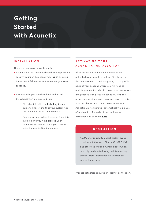# **Getting Started with Acunetix**

# **INSTALLATION**

There are two ways to use Acunetix:

- Acunetix Online is a cloud-based web application security scanner. You can simply <u>l**og in**</u> by using the Account Administrator credentials you were supplied.
- Alternatively, you can download and install the Acunetix on-premises edition.
	- $\bullet$  First check in with the <u>Installing Acunetix</u> guide to understand that your system has the minimum system requirements.
	- Proceed with installing Acunetix. Once it is installed and you have created your administrator user account, you can start using the application immediately.

# **ACTIVATING YOUR ACUNETIX INSTALLATION**

After the installation, Acunetix needs to be activated using your license key . Simply log into the Acunetix web UI and navigating to the profile page of your account, where you will need to update your contact details. Insert your license key and proceed with product activation. With the on-premises edition, you can also choose to register your installation with the AcuMonitor service. Acunetix Online users will automatically make use of AcuMonitor. More details about License Activation can be found <u>here</u>.

# **INFORMATION**

AcuMonitor is used to detect certain types of vulnerabilities, such Blind XSS, SSRF, XXE and other out of band vulnerabilities which can only be detected using an intermediary service. More information on AcuMonitor can be found **here**.

Product activation requires an internet connection.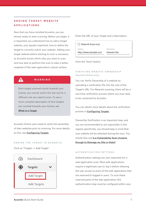# **ADDING TARGET WEBSITE APPLICATIONS**

Now that you have installed Acunetix, you are almost ready to start scanning. Before you begin, it is important you understand how to add a target website, and, equally important, how to define the target to correctly match your website. Adding your target website before starting to scan is necessary so Acunetix knows which sites you want to scan, and how best to perform the scan to take a better snapshot of the web application's attack surface.

# **WARNING**

 $\boldsymbol{\Lambda}$ 

Each target scanned counts towards your license; you cannot switch this site out for a different site you need to scan. To see a more complete description of how targets are counted towards your license, see **What is a Target**.

Acunetix Online users need to verify the ownership of their websites prior to scanning. For more details on this, see **Configuring Targets**.

#### **ADDING THE TARGET IN ACUNETIX**

Click on "Targets -> Add Target".



Enter the URL of your Target and a Description.

| Network Scans only     |              |  |  |  |  |
|------------------------|--------------|--|--|--|--|
| Address                | Description  |  |  |  |  |
| http://www.example.com | Example Site |  |  |  |  |

Click the "Save" button.

# **VERIFYING WEBSITE OWNERSHIP (Acunetix Online only)**

You can Verify Ownership of a website by uploading a verification file into the root of the Target's URL. For Network scanning, there will be a one-time verification process where you may need to be contacted by Acunetix.

You can obtain more details about the verification process in **Configuring Targets**.

Ownership Verification is an important step, and you are recommended to act responsibly in this regard; specifically, you should keep in mind that your website will be attacked during the scan. You should also see <u>Is a Vulnerability Scan Invasive</u> **<u>Enough to Damage my Site or Data?</u>** 

## **AUTHENTICATION SETTINGS**

Authentication settings are very important for a web application scan. Most web applications require a legitimate user to log in before allowing the user access to parts of the web application that are reserved to logged-in users. To scan these reserved parts of the web application, this authentication step must be configured within your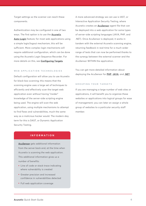Target settings so the scanner can reach these components.

Authentication may be configured in one of two ways. The first option is to use the <u>**Acunetix**</u> **<u>Auto-Login</u> feature; for most web applications using** a simple login/logout mechanism, this will be sufficient. More complex login mechanisms will require additional configuration, which can be done using the Acunetix Login Sequence Recorder. For **more details on this, see <u>Configuring Targets</u>.** 

#### **WEB APPLICATION TECHNOLOGIES**

Default configuration will allow you to use Acunetix for black-box scanning; this means that the scanning engine uses a large set of techniques to efficiently and effectively scan the target web application even without having "insider" knowledge of the server-side scripting engine being used. The engine will scan the web application, using multiple mechanisms to attempt to find flaws and vulnerabilities, much the same way as a malicious hacker would. The modern-day term for this is DAST, or Dynamic Application Security Testing.

A more advanced strategy we can use is IAST, or Interactive Application Security Testing, where Acunetix creates an *AcuSensor* agent file that can be deployed into a web application for some types of server-side scripting languages (JAVA, PHP, and .NET). Once AcuSensor is deployed, it works in tandem with the external Acunetix scanning engine, returning feedback in real-time for a much wider range of tests that can now be performed thanks to the synergy between the external scanner and the AcuSensor WITHIN the application.

You can get more detailed information about deploying the AcuSensor for **PHP**, **JAVA**, and **.NET**.

#### **GROUPING YOUR TARGETS**

If you are managing a large number of web sites or applications, it will benefit you to organize these websites or applications into logical groups for ease of management; you can later on assign a whole group of websites to a particular security staff member.

## **INFORMATION**

**<u>AcuSensor</u> gets additional information** from the server back end, at the time when Acunetix is scanning the web application. This additional information gives us a number of benefits:

- Line of code or stack trace indicating where vulnerability is created
- Greater precision and increased confidence in vulnerabilities detected
- Full web application coverage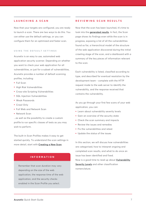# **LAUNCHING A SCAN**

Now that your targets are configured, you are ready to launch a scan. There are two ways to do this. You can either use the default settings, or you can configure them for an optimized and faster scan.

#### **USING THE DEFAULT SETTINGS**

Acunetix is an easy to use, automated web application security scanner. Depending on whether you want to check your web application for all vulnerabilities, or just for a subset of vulnerabilities, Acunetix provides a number of default scanning profiles, including:

- Full Scan
- High Risk Vulnerabilities
- Cross-site Scripting Vulnerabilities
- SQL Injection Vulnerabilities
- Weak Passwords
- Crawl Only
- Full Web and Network Scan
- Network Scan

...as well as the possibility to create a custom profile to run specific classes of tests as you may wish to perform.

The built-in Scan Profiles makes it easy to get started quickly. To understand the scan settings in more detail, start with <u>Creating a New Scan</u>.

# **INFORMATION**

Remember that scan duration may vary depending on the size of the web application, the response time of the web application, and the security checks enabled in the Scan Profile you select.

# **REVIEWING SCAN RESULTS**

Now that the scan has been launched, it's time to look into the **generated results**. In fact, the Scanpage shows its findings even while the scan is in progress, exposing a list of all the vulnerabilities found so far, a hierarchical model of the structure of the web application discovered during the initial crawling stage of the scan, and a dashboard with a summary of the key pieces of information relevant to the scan.

Each vulnerability is listed, classified according to type, and described for eventual resolution by the development team - complete with the HTTP request made to the web server to identify the vulnerability, and the response received that contains the vulnerability.

As you go through your first few scans of your web application, you can:

- Learn about vulnerability severity levels
- Gain an overview of the security state
- Check the scan summary and impacts
- Review the issues and remedies
- Fix the vulnerabilities and retest
- Update the status of the issues

In this section, we will discuss how vulnerabilities are categorised, how to interpret ongoing and completed scan results, and what to do once an issue has been identified and fixed. Now is a good time to read up about **<u>Vulnerability</u> Severity Levels** and other classification nomenclature.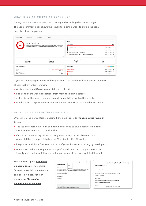#### **WHAT IS GOING ON DURING SCANNING?**

During the scan phase, Acunetix is crawling and attacking discovered pages. The Scan summary page shows the results for a single website during the scan, and also after completion.

| Scan Information<br>Vulnerabilities                                                                                                                                                                                                                        | Site Structure<br>Events    |                                                                   |                          |  |  |
|------------------------------------------------------------------------------------------------------------------------------------------------------------------------------------------------------------------------------------------------------------|-----------------------------|-------------------------------------------------------------------|--------------------------|--|--|
|                                                                                                                                                                                                                                                            |                             | Activity                                                          | Completed                |  |  |
| <b>Acunetix Threat Level 3</b><br><b>HIGH</b><br>One or more high-severity type vulnerabilities have been discovered by the scanner. A malicious user<br>can exploit these vulnerabilities and compromise the backend database and/or deface your website. |                             | Overall Progress                                                  | 100%                     |  |  |
|                                                                                                                                                                                                                                                            |                             | Scanning of testphp.vulnweb.com started                           | Mar 10, 2020, 4:55:55 PM |  |  |
|                                                                                                                                                                                                                                                            |                             | Windows Defender used in this scan                                | Mar 10, 2020, 4:55:55 PM |  |  |
|                                                                                                                                                                                                                                                            |                             | AcuSensor used for this scan                                      | Mar 10, 2020, 4:55:55 PM |  |  |
|                                                                                                                                                                                                                                                            |                             | Scanning of testphp.vulnweb.com completed                         | Mar 10, 2020, 4:58:36 PM |  |  |
|                                                                                                                                                                                                                                                            |                             | Login forms were detected but LSR or Autologin are not being used | Mar 10, 2020, 4:58:36 PM |  |  |
| <b>Scan Duration</b>                                                                                                                                                                                                                                       | Requests                    | Average Response Time                                             | Locations                |  |  |
| 2m 41s                                                                                                                                                                                                                                                     | 33,921                      | 41ms                                                              | 129                      |  |  |
| Target Information                                                                                                                                                                                                                                         |                             | <b>Latest Alerts</b>                                              | 8000                     |  |  |
| Address                                                                                                                                                                                                                                                    | http://testphp.vulnweb.com/ | Cross site scripting                                              | Mar 10, 2020, 4:58:12 PM |  |  |
| Server                                                                                                                                                                                                                                                     | $n$ gin $\times$ /1.4.1     | SQL injection                                                     | Mar 10, 2020, 4:57:48 PM |  |  |
| Operating System                                                                                                                                                                                                                                           | Unknown<br>PHP              | SQL injection                                                     | Mar 10, 2020, 4:57:48 PM |  |  |
| <b>Identified Technologies</b><br><b>Pernanciue</b>                                                                                                                                                                                                        | Vac                         | <b>EXAMPLE SOLUTION</b>                                           | Mar 10, 2020, 4:57:48 PM |  |  |

If you are managing a suite of web applications, the Dashboard provides an overview

of your web inventory, showing:

- statistics for the different vulnerability classifications
- a ranking of the web applications from most-to-least vulnerable
- a shortlist of the most commonly found vulnerabilities within the inventory
- trend charts to expose the efficiency and effectiveness of the remediation process

#### **MANAGING DETECTED VULNERABILITIES**

Once a list of vulnerabilities is obtained, the next task is to **manage issues found by** 

#### **Acunetix**. **https://www.acunetix.com/support/docs/wvs/managing-vulnerabilities/**

- The list of vulnerabilities can be filtered and sorted to give priority to the items that are most relevant to the situation.
- If exposed vulnerability will take a long time to fix, it is possible to export vulnerabilities for import into top-tier Web Application Firewalls.
- Integration with Issue Trackers can be configured for easier tracking by developers.
- When a second or subsequent scan is performed, one can "Compare Scans" to identify which vulnerabilities are no longer present (fixed), and which still remain.

| You can read up on <b>Managing</b> |                                                                                                                                                                                                               | $\mathcal{A}$ Mark as $\star$    | Ct Retest | Send To Issue Tracker | $\mathbf{x}$                |                                                                                                                                                                                |                                                                                                                     | $\mathcal{L}$ Mark as $\mathbf{v}$ | $C_1$ Retest $\Box$ | Send To Issue Tracker |  |  |
|------------------------------------|---------------------------------------------------------------------------------------------------------------------------------------------------------------------------------------------------------------|----------------------------------|-----------|-----------------------|-----------------------------|--------------------------------------------------------------------------------------------------------------------------------------------------------------------------------|---------------------------------------------------------------------------------------------------------------------|------------------------------------|---------------------|-----------------------|--|--|
| Vulnerabilities in more detail.    | <b>Directory listing</b>                                                                                                                                                                                      | Open<br>Fired                    |           |                       |                             |                                                                                                                                                                                | <b>SOL injection @ ACUSTRISON</b>                                                                                   |                                    |                     |                       |  |  |
|                                    | Vulnerability Description ^                                                                                                                                                                                   | Impred<br><b>False Projition</b> |           |                       |                             |                                                                                                                                                                                | Vulnerability Description ^                                                                                         |                                    |                     |                       |  |  |
| Once a vulnerability is evaluated  | The web server is configured to distermance mesh contained in this directory. This is not recommended<br>because the directory may contain files that are not normally exposed through links on the web site. |                                  |           |                       |                             | SOL injection (SOLI) refers to an injection attack wherein an attacker can execute malicious SOL statements that con                                                           |                                                                                                                     |                                    |                     |                       |  |  |
|                                    | The vulnerability affects http://testphp.vulnweb.com/wvstests/<br>Discovered by Directory listing                                                                                                             |                                  |           |                       |                             | application's database server.<br>The vulnerability affects http://testphp.vulnweb.com/search.php , searchFor                                                                  |                                                                                                                     |                                    |                     |                       |  |  |
| and possibly fixed, you can        | Attack Details A                                                                                                                                                                                              |                                  |           |                       | Discovered by SOL injection |                                                                                                                                                                                |                                                                                                                     |                                    |                     |                       |  |  |
| Update the Status of a             | Pattern found:<br><title>Index of Aventests/</title>                                                                                                                                                          |                                  |           | Attack Details        |                             |                                                                                                                                                                                |                                                                                                                     |                                    |                     |                       |  |  |
|                                    | <b>HTTP Request +</b>                                                                                                                                                                                         |                                  |           |                       |                             |                                                                                                                                                                                | URL encoded POST input searchFor was set to 1ACUSTART""I6hzxACUEND<br>Source file: /hj/var/www//search.php line: 70 |                                    |                     |                       |  |  |
| Vulnerability in Acunetix.         | O                                                                                                                                                                                                             |                                  |           |                       | Additional details:         |                                                                                                                                                                                |                                                                                                                     |                                    |                     |                       |  |  |
|                                    | GET /www.texts/ HTTP/1.1<br>Accept: text/html.application/whtml+wml.application/wml:g+0.9.7/*:p+0.8                                                                                                           |                                  |           |                       |                             | SOL query:<br>SELECT a.*, b.aname, b.artist id. c.cname<br>FROM pictures a, artists b, categ c<br>WHERE a.cat id=c.cat id AND a.a id=b.artist id AND (LOCATE('1ACUSTART'"16hzx |                                                                                                                     |                                    |                     |                       |  |  |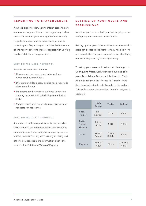# **REPORTING TO STAKEHOLDERS**

**<u>Acunetix Reports</u> allow you to inform stakeholders,** such as management teams and regulatory bodies, about the state of your web applications' security. Reports can cover one or more scans, or one or more targets. Depending on the intended consumer of the report, different **types of reports** with varying levels of detail can be generated.

#### **WHY DO WE NEED REPORTS?**

Reports are important because:

- Developer teams need reports to work on discovered vulnerabilities
- Directors and Regulatory bodies need reports to show compliance
- Managers need reports to evaluate impact on running business, and prioritizing remediation tasks
- Support staff need reports to react to customer requests for assistance

#### **WHY DO WE NEED REPORTS?**

A number of built-in report formats are provided with Acunetix, including Developer and Executive Summary reports and compliance reports, such as HIPAA, OWASP Top 10, NIST SP800, PCI DSS, and others. You can get more information about the availability of different <u>Types of Reports</u>.

# **SETTING UP YOUR USERS AND PERMISSIONS**

Now that you have added your first target, you can configure your users and access levels.

Setting up user permissions at the start ensures that users get access to the features they need to work on the websites they are responsible for, identifying and resolving security issues right away.

To set up your users and their access levels, go to **<u>Configuring Users</u>. Each user can have one of 3** roles: Tech Admin, Tester, and Auditor. If a Tech Admin is assigned the "Access All Targets" right, then he also is able to add Targets to the system. This table summarizes the functionality assigned to each role.

|                                 | Tech<br>Admin    | <b>Tester</b>    | Auditor          |
|---------------------------------|------------------|------------------|------------------|
| Scan<br><b>Targets</b>          | Full<br>Control  | Scan             | View             |
| Scan<br><b>Target</b><br>Groups | Edit /<br>Scan   | Scan             | View             |
| Scans                           | View /<br>Delete | View /<br>Delete | View             |
| Reports                         | Create /<br>View | None             | Create /<br>View |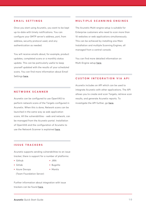#### **EMAIL SETTINGS**

Once you start using Acunetix, you want to be kept up-to-date with timely notifications. You can configure your SMTP server's address, port, from address, security protocol used, and any authentication as needed.

You will receive emails about, for example, product updates, completed scans or a monthly status update. This can be particularly useful to keep yourself updated with the results of your scheduled scans. You can find more information about Email Settings <u>here</u>.

# **MULTIPLE SCANNING ENGINES**

The Acunetix Multi-engine setup is suitable for Enterprise customers who need to scan more than 10 websites or web applications simultaneously. This can be achieved by installing one Main Installation and multiple Scanning Engines, all managed from a central console.

You can find more detailed information on **Multi-Engine setup here.** 

# **CUSTOM INTEGRATION VIA API**

Acunetix includes an API which can be used to integrate Acunetix with other applications. The API allows you to create and scan Targets, retrieve scan results, and generate Acunetix reports. To investigate the API further, go <u>here</u>.

# **NETWORK SCANNER**

Acunetix can be configured to use OpenVAS to perform network scans of the Targets configured in Acunetix. When this is done, Network scans can be launched in the same way as web application scans. All the vulnerabilities - web and network, can be managed from the Acunetix portal. Installation of OpenVAS and the configuration of Acunetix to use the Network Scanner is explained <u>here</u>.

# **ISSUE TRACKERS**

Acunetix supports sending vulnerabilities to an issue tracker; there is support for a number of platforms:

• Github

● JIRA

- Gitlab
- Azure Devops (Team Foundation Server)
- Bugzilla
- Mantis

Further information about integration with issue trackers can be found **here**.